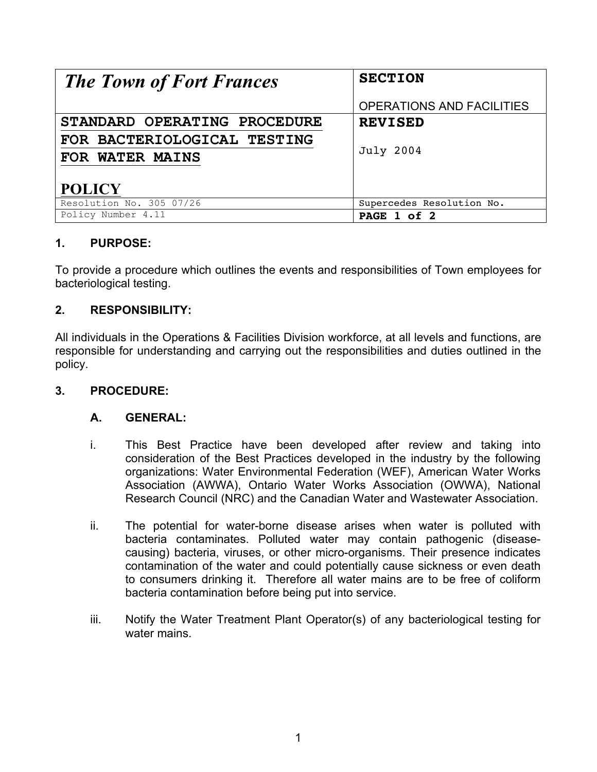| <b>The Town of Fort Frances</b> | <b>SECTION</b>                   |
|---------------------------------|----------------------------------|
|                                 | <b>OPERATIONS AND FACILITIES</b> |
| STANDARD OPERATING PROCEDURE    | <b>REVISED</b>                   |
| FOR BACTERIOLOGICAL TESTING     |                                  |
| FOR WATER MAINS                 | <b>July 2004</b>                 |
| <b>POLICY</b>                   |                                  |
| Resolution No. 305 07/26        | Supercedes Resolution No.        |
| Policy Number 4.11              | PAGE 1 of 2                      |

# **1. PURPOSE:**

To provide a procedure which outlines the events and responsibilities of Town employees for bacteriological testing.

### **2. RESPONSIBILITY:**

All individuals in the Operations & Facilities Division workforce, at all levels and functions, are responsible for understanding and carrying out the responsibilities and duties outlined in the policy.

### **3. PROCEDURE:**

### **A. GENERAL:**

- i. This Best Practice have been developed after review and taking into consideration of the Best Practices developed in the industry by the following organizations: Water Environmental Federation (WEF), American Water Works Association (AWWA), Ontario Water Works Association (OWWA), National Research Council (NRC) and the Canadian Water and Wastewater Association.
- ii. The potential for water-borne disease arises when water is polluted with bacteria contaminates. Polluted water may contain pathogenic (diseasecausing) bacteria, viruses, or other micro-organisms. Their presence indicates contamination of the water and could potentially cause sickness or even death to consumers drinking it. Therefore all water mains are to be free of coliform bacteria contamination before being put into service.
- iii. Notify the Water Treatment Plant Operator(s) of any bacteriological testing for water mains.